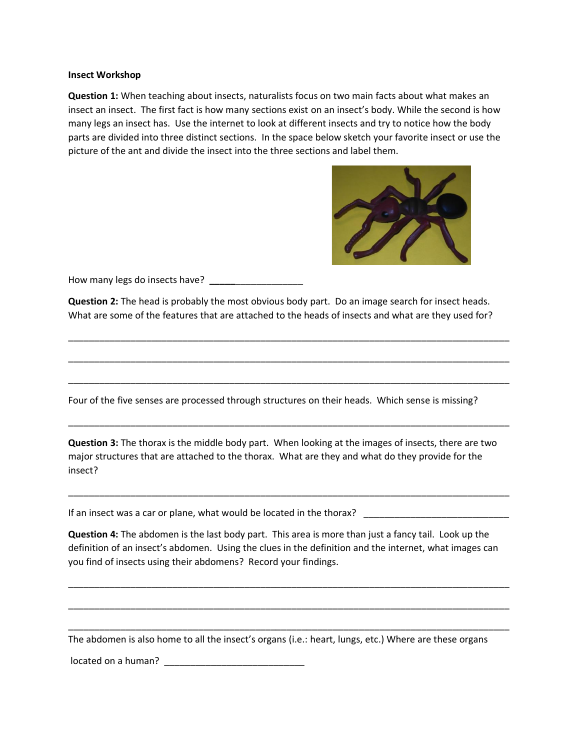## **Insect Workshop**

**Question 1:** When teaching about insects, naturalists focus on two main facts about what makes an insect an insect. The first fact is how many sections exist on an insect's body. While the second is how many legs an insect has. Use the internet to look at different insects and try to notice how the body parts are divided into three distinct sections. In the space below sketch your favorite insect or use the picture of the ant and divide the insect into the three sections and label them.



How many legs do insects have? **\_\_\_\_\_**\_\_\_\_\_\_\_\_\_\_\_\_\_

**Question 2:** The head is probably the most obvious body part. Do an image search for insect heads. What are some of the features that are attached to the heads of insects and what are they used for?

\_\_\_\_\_\_\_\_\_\_\_\_\_\_\_\_\_\_\_\_\_\_\_\_\_\_\_\_\_\_\_\_\_\_\_\_\_\_\_\_\_\_\_\_\_\_\_\_\_\_\_\_\_\_\_\_\_\_\_\_\_\_\_\_\_\_\_\_\_\_\_\_\_\_\_\_\_\_\_\_\_\_\_\_\_

\_\_\_\_\_\_\_\_\_\_\_\_\_\_\_\_\_\_\_\_\_\_\_\_\_\_\_\_\_\_\_\_\_\_\_\_\_\_\_\_\_\_\_\_\_\_\_\_\_\_\_\_\_\_\_\_\_\_\_\_\_\_\_\_\_\_\_\_\_\_\_\_\_\_\_\_\_\_\_\_\_\_\_\_\_

\_\_\_\_\_\_\_\_\_\_\_\_\_\_\_\_\_\_\_\_\_\_\_\_\_\_\_\_\_\_\_\_\_\_\_\_\_\_\_\_\_\_\_\_\_\_\_\_\_\_\_\_\_\_\_\_\_\_\_\_\_\_\_\_\_\_\_\_\_\_\_\_\_\_\_\_\_\_\_\_\_\_\_\_\_

\_\_\_\_\_\_\_\_\_\_\_\_\_\_\_\_\_\_\_\_\_\_\_\_\_\_\_\_\_\_\_\_\_\_\_\_\_\_\_\_\_\_\_\_\_\_\_\_\_\_\_\_\_\_\_\_\_\_\_\_\_\_\_\_\_\_\_\_\_\_\_\_\_\_\_\_\_\_\_\_\_\_\_\_\_

Four of the five senses are processed through structures on their heads. Which sense is missing?

**Question 3:** The thorax is the middle body part. When looking at the images of insects, there are two major structures that are attached to the thorax. What are they and what do they provide for the insect?

\_\_\_\_\_\_\_\_\_\_\_\_\_\_\_\_\_\_\_\_\_\_\_\_\_\_\_\_\_\_\_\_\_\_\_\_\_\_\_\_\_\_\_\_\_\_\_\_\_\_\_\_\_\_\_\_\_\_\_\_\_\_\_\_\_\_\_\_\_\_\_\_\_\_\_\_\_\_\_\_\_\_\_\_\_

If an insect was a car or plane, what would be located in the thorax? \_\_\_\_\_\_\_\_\_\_\_\_\_\_\_\_\_\_\_\_\_\_\_\_\_\_\_\_

**Question 4:** The abdomen is the last body part. This area is more than just a fancy tail. Look up the definition of an insect's abdomen. Using the clues in the definition and the internet, what images can you find of insects using their abdomens? Record your findings.

\_\_\_\_\_\_\_\_\_\_\_\_\_\_\_\_\_\_\_\_\_\_\_\_\_\_\_\_\_\_\_\_\_\_\_\_\_\_\_\_\_\_\_\_\_\_\_\_\_\_\_\_\_\_\_\_\_\_\_\_\_\_\_\_\_\_\_\_\_\_\_\_\_\_\_\_\_\_\_\_\_\_\_\_\_

\_\_\_\_\_\_\_\_\_\_\_\_\_\_\_\_\_\_\_\_\_\_\_\_\_\_\_\_\_\_\_\_\_\_\_\_\_\_\_\_\_\_\_\_\_\_\_\_\_\_\_\_\_\_\_\_\_\_\_\_\_\_\_\_\_\_\_\_\_\_\_\_\_\_\_\_\_\_\_\_\_\_\_\_\_

\_\_\_\_\_\_\_\_\_\_\_\_\_\_\_\_\_\_\_\_\_\_\_\_\_\_\_\_\_\_\_\_\_\_\_\_\_\_\_\_\_\_\_\_\_\_\_\_\_\_\_\_\_\_\_\_\_\_\_\_\_\_\_\_\_\_\_\_\_\_\_\_\_\_\_\_\_\_\_\_\_\_\_\_\_

The abdomen is also home to all the insect's organs (i.e.: heart, lungs, etc.) Where are these organs

located on a human? \_\_\_\_\_\_\_\_\_\_\_\_\_\_\_\_\_\_\_\_\_\_\_\_\_\_\_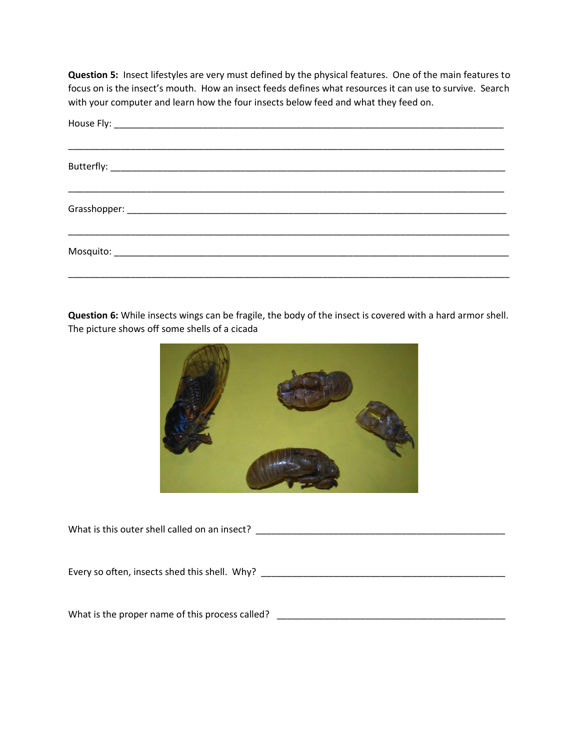**Question 5:** Insect lifestyles are very must defined by the physical features. One of the main features to focus on is the insect's mouth. How an insect feeds defines what resources it can use to survive. Search with your computer and learn how the four insects below feed and what they feed on.

**Question 6:** While insects wings can be fragile, the body of the insect is covered with a hard armor shell. The picture shows off some shells of a cicada



| What is this outer shell called on an insect? |
|-----------------------------------------------|
|                                               |
|                                               |
|                                               |
| Every so often, insects shed this shell. Why? |
|                                               |
|                                               |

What is the proper name of this process called? \_\_\_\_\_\_\_\_\_\_\_\_\_\_\_\_\_\_\_\_\_\_\_\_\_\_\_\_\_\_\_\_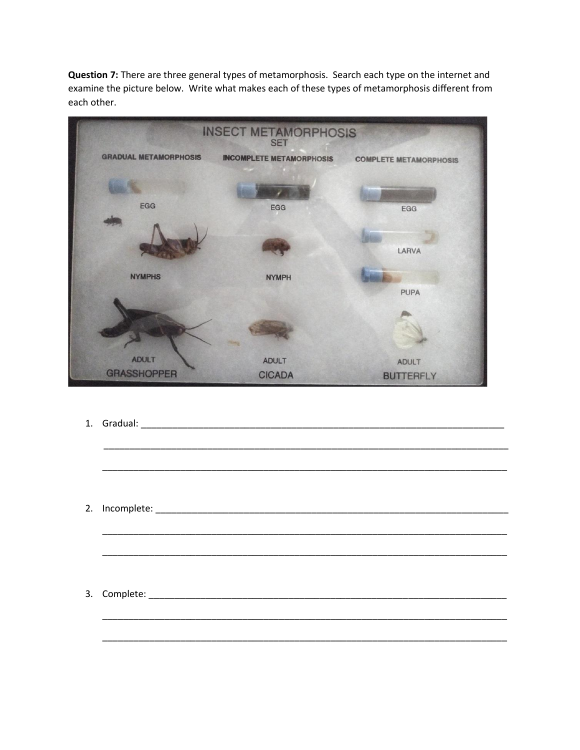Question 7: There are three general types of metamorphosis. Search each type on the internet and examine the picture below. Write what makes each of these types of metamorphosis different from each other.



1. Gradual: et al. 2010. The contract of the contract of the contract of the contract of the contract of the contract of the contract of the contract of the contract of the contract of the contract of the contract of the c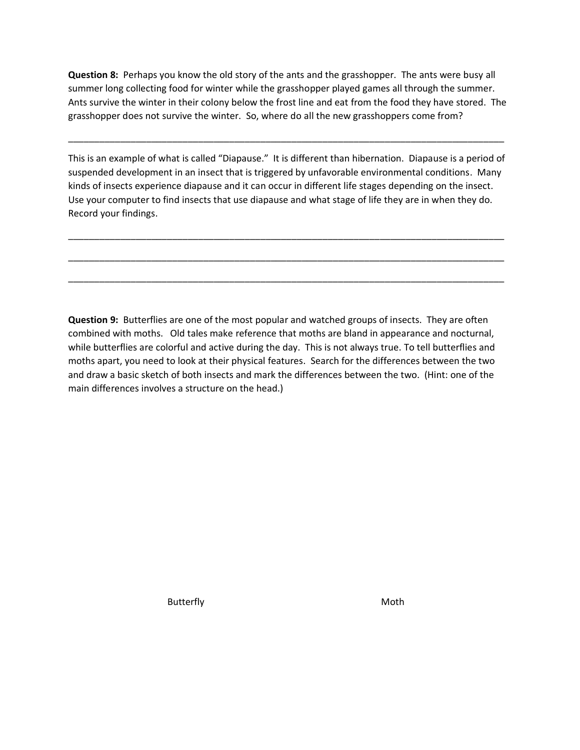**Question 8:** Perhaps you know the old story of the ants and the grasshopper. The ants were busy all summer long collecting food for winter while the grasshopper played games all through the summer. Ants survive the winter in their colony below the frost line and eat from the food they have stored. The grasshopper does not survive the winter. So, where do all the new grasshoppers come from?

\_\_\_\_\_\_\_\_\_\_\_\_\_\_\_\_\_\_\_\_\_\_\_\_\_\_\_\_\_\_\_\_\_\_\_\_\_\_\_\_\_\_\_\_\_\_\_\_\_\_\_\_\_\_\_\_\_\_\_\_\_\_\_\_\_\_\_\_\_\_\_\_\_\_\_\_\_\_\_\_\_\_\_\_

This is an example of what is called "Diapause." It is different than hibernation. Diapause is a period of suspended development in an insect that is triggered by unfavorable environmental conditions. Many kinds of insects experience diapause and it can occur in different life stages depending on the insect. Use your computer to find insects that use diapause and what stage of life they are in when they do. Record your findings.

\_\_\_\_\_\_\_\_\_\_\_\_\_\_\_\_\_\_\_\_\_\_\_\_\_\_\_\_\_\_\_\_\_\_\_\_\_\_\_\_\_\_\_\_\_\_\_\_\_\_\_\_\_\_\_\_\_\_\_\_\_\_\_\_\_\_\_\_\_\_\_\_\_\_\_\_\_\_\_\_\_\_\_\_

\_\_\_\_\_\_\_\_\_\_\_\_\_\_\_\_\_\_\_\_\_\_\_\_\_\_\_\_\_\_\_\_\_\_\_\_\_\_\_\_\_\_\_\_\_\_\_\_\_\_\_\_\_\_\_\_\_\_\_\_\_\_\_\_\_\_\_\_\_\_\_\_\_\_\_\_\_\_\_\_\_\_\_\_

\_\_\_\_\_\_\_\_\_\_\_\_\_\_\_\_\_\_\_\_\_\_\_\_\_\_\_\_\_\_\_\_\_\_\_\_\_\_\_\_\_\_\_\_\_\_\_\_\_\_\_\_\_\_\_\_\_\_\_\_\_\_\_\_\_\_\_\_\_\_\_\_\_\_\_\_\_\_\_\_\_\_\_\_

**Question 9:** Butterflies are one of the most popular and watched groups of insects. They are often combined with moths. Old tales make reference that moths are bland in appearance and nocturnal, while butterflies are colorful and active during the day. This is not always true. To tell butterflies and moths apart, you need to look at their physical features. Search for the differences between the two and draw a basic sketch of both insects and mark the differences between the two. (Hint: one of the main differences involves a structure on the head.)

**Butterfly** and the Moth Moth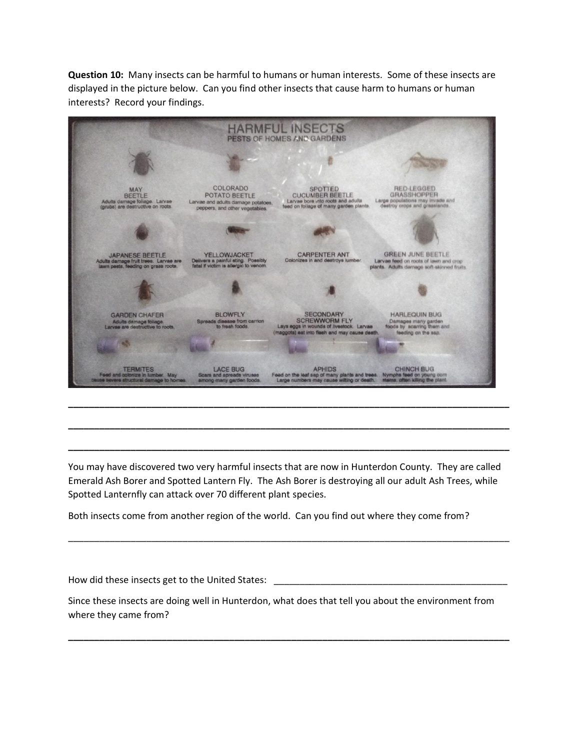**Question 10:** Many insects can be harmful to humans or human interests. Some of these insects are displayed in the picture below. Can you find other insects that cause harm to humans or human interests? Record your findings.



You may have discovered two very harmful insects that are now in Hunterdon County. They are called Emerald Ash Borer and Spotted Lantern Fly. The Ash Borer is destroying all our adult Ash Trees, while Spotted Lanternfly can attack over 70 different plant species.

**\_\_\_\_\_\_\_\_\_\_\_\_\_\_\_\_\_\_\_\_\_\_\_\_\_\_\_\_\_\_\_\_\_\_\_\_\_\_\_\_\_\_\_\_\_\_\_\_\_\_\_\_\_\_\_\_\_\_\_\_\_\_\_\_\_\_\_\_\_\_\_\_\_\_\_\_\_\_\_\_\_\_\_\_\_**

**\_\_\_\_\_\_\_\_\_\_\_\_\_\_\_\_\_\_\_\_\_\_\_\_\_\_\_\_\_\_\_\_\_\_\_\_\_\_\_\_\_\_\_\_\_\_\_\_\_\_\_\_\_\_\_\_\_\_\_\_\_\_\_\_\_\_\_\_\_\_\_\_\_\_\_\_\_\_\_\_\_\_\_\_\_**

Both insects come from another region of the world. Can you find out where they come from?

How did these insects get to the United States: Since these insects are doing well in Hunterdon, what does that tell you about the environment from where they came from? **\_\_\_\_\_\_\_\_\_\_\_\_\_\_\_\_\_\_\_\_\_\_\_\_\_\_\_\_\_\_\_\_\_\_\_\_\_\_\_\_\_\_\_\_\_\_\_\_\_\_\_\_\_\_\_\_\_\_\_\_\_\_\_\_\_\_\_\_\_\_\_\_\_\_\_\_\_\_\_\_\_\_\_\_\_**

\_\_\_\_\_\_\_\_\_\_\_\_\_\_\_\_\_\_\_\_\_\_\_\_\_\_\_\_\_\_\_\_\_\_\_\_\_\_\_\_\_\_\_\_\_\_\_\_\_\_\_\_\_\_\_\_\_\_\_\_\_\_\_\_\_\_\_\_\_\_\_\_\_\_\_\_\_\_\_\_\_\_\_\_\_